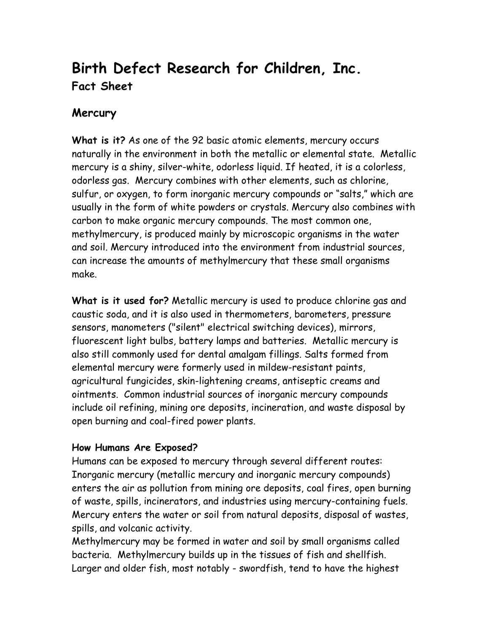## **Birth Defect Research for Children, Inc. Fact Sheet**

## **Mercury**

**What is it?** As one of the 92 basic atomic elements, mercury occurs naturally in the environment in both the metallic or elemental state. Metallic mercury is a shiny, silver-white, odorless liquid. If heated, it is a colorless, odorless gas. Mercury combines with other elements, such as chlorine, sulfur, or oxygen, to form inorganic mercury compounds or "salts," which are usually in the form of white powders or crystals. Mercury also combines with carbon to make organic mercury compounds. The most common one, methylmercury, is produced mainly by microscopic organisms in the water and soil. Mercury introduced into the environment from industrial sources, can increase the amounts of methylmercury that these small organisms make.

**What is it used for?** Metallic mercury is used to produce chlorine gas and caustic soda, and it is also used in thermometers, barometers, pressure sensors, manometers ("silent" electrical switching devices), mirrors, fluorescent light bulbs, battery lamps and batteries. Metallic mercury is also still commonly used for dental amalgam fillings. Salts formed from elemental mercury were formerly used in mildew-resistant paints, agricultural fungicides, skin-lightening creams, antiseptic creams and ointments. Common industrial sources of inorganic mercury compounds include oil refining, mining ore deposits, incineration, and waste disposal by open burning and coal-fired power plants.

## **How Humans Are Exposed?**

Humans can be exposed to mercury through several different routes: Inorganic mercury (metallic mercury and inorganic mercury compounds) enters the air as pollution from mining ore deposits, coal fires, open burning of waste, spills, incinerators, and industries using mercury-containing fuels. Mercury enters the water or soil from natural deposits, disposal of wastes, spills, and volcanic activity.

Methylmercury may be formed in water and soil by small organisms called bacteria. Methylmercury builds up in the tissues of fish and shellfish. Larger and older fish, most notably - swordfish, tend to have the highest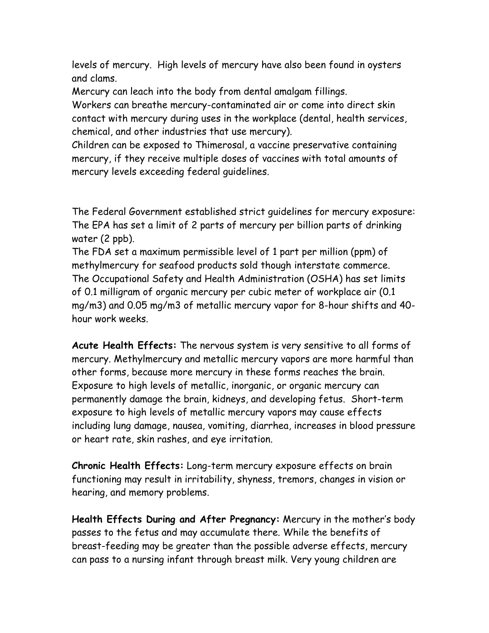levels of mercury. High levels of mercury have also been found in oysters and clams.

Mercury can leach into the body from dental amalgam fillings.

Workers can breathe mercury-contaminated air or come into direct skin contact with mercury during uses in the workplace (dental, health services, chemical, and other industries that use mercury).

Children can be exposed to Thimerosal, a vaccine preservative containing mercury, if they receive multiple doses of vaccines with total amounts of mercury levels exceeding federal guidelines.

The Federal Government established strict guidelines for mercury exposure: The EPA has set a limit of 2 parts of mercury per billion parts of drinking water (2 ppb).

The FDA set a maximum permissible level of 1 part per million (ppm) of methylmercury for seafood products sold though interstate commerce. The Occupational Safety and Health Administration (OSHA) has set limits of 0.1 milligram of organic mercury per cubic meter of workplace air (0.1 mg/m3) and 0.05 mg/m3 of metallic mercury vapor for 8-hour shifts and 40 hour work weeks.

**Acute Health Effects:** The nervous system is very sensitive to all forms of mercury. Methylmercury and metallic mercury vapors are more harmful than other forms, because more mercury in these forms reaches the brain. Exposure to high levels of metallic, inorganic, or organic mercury can permanently damage the brain, kidneys, and developing fetus. Short-term exposure to high levels of metallic mercury vapors may cause effects including lung damage, nausea, vomiting, diarrhea, increases in blood pressure or heart rate, skin rashes, and eye irritation.

**Chronic Health Effects:** Long-term mercury exposure effects on brain functioning may result in irritability, shyness, tremors, changes in vision or hearing, and memory problems.

**Health Effects During and After Pregnancy:** Mercury in the mother's body passes to the fetus and may accumulate there. While the benefits of breast-feeding may be greater than the possible adverse effects, mercury can pass to a nursing infant through breast milk. Very young children are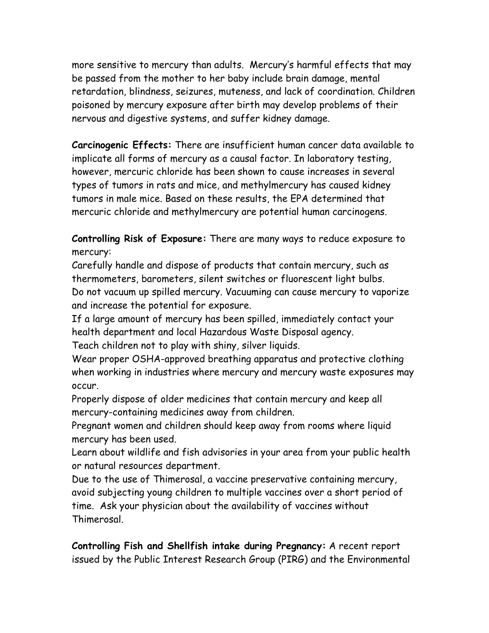more sensitive to mercury than adults. Mercury's harmful effects that may be passed from the mother to her baby include brain damage, mental retardation, blindness, seizures, muteness, and lack of coordination. Children poisoned by mercury exposure after birth may develop problems of their nervous and digestive systems, and suffer kidney damage.

**Carcinogenic Effects:** There are insufficient human cancer data available to implicate all forms of mercury as a causal factor. In laboratory testing, however, mercuric chloride has been shown to cause increases in several types of tumors in rats and mice, and methylmercury has caused kidney tumors in male mice. Based on these results, the EPA determined that mercuric chloride and methylmercury are potential human carcinogens.

**Controlling Risk of Exposure:** There are many ways to reduce exposure to mercury:

Carefully handle and dispose of products that contain mercury, such as thermometers, barometers, silent switches or fluorescent light bulbs. Do not vacuum up spilled mercury. Vacuuming can cause mercury to vaporize and increase the potential for exposure.

If a large amount of mercury has been spilled, immediately contact your health department and local Hazardous Waste Disposal agency.

Teach children not to play with shiny, silver liquids.

Wear proper OSHA-approved breathing apparatus and protective clothing when working in industries where mercury and mercury waste exposures may occur.

Properly dispose of older medicines that contain mercury and keep all mercury-containing medicines away from children.

Pregnant women and children should keep away from rooms where liquid mercury has been used.

Learn about wildlife and fish advisories in your area from your public health or natural resources department.

Due to the use of Thimerosal, a vaccine preservative containing mercury, avoid subjecting young children to multiple vaccines over a short period of time. Ask your physician about the availability of vaccines without Thimerosal.

**Controlling Fish and Shellfish intake during Pregnancy:** A recent report issued by the Public Interest Research Group (PIRG) and the Environmental